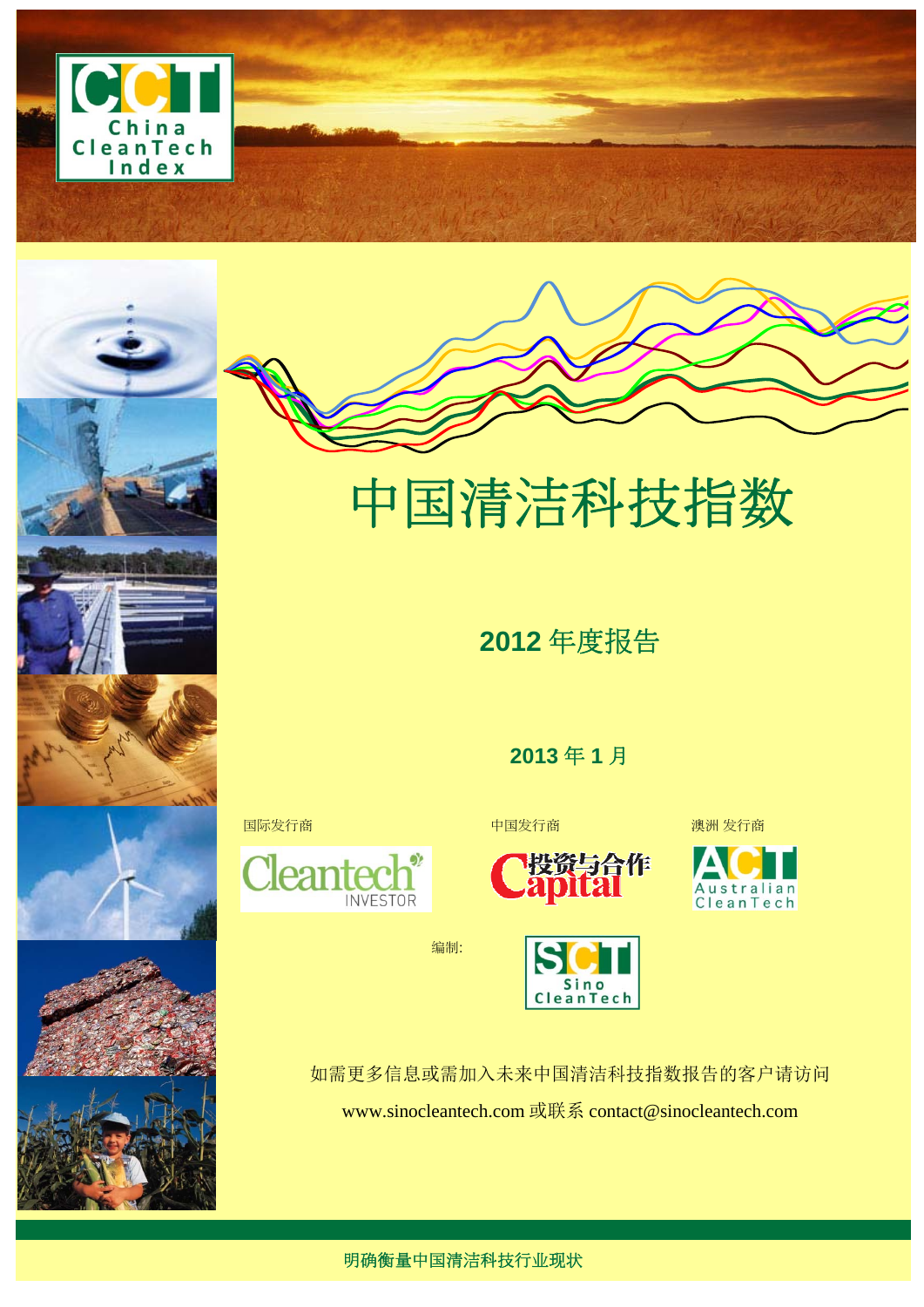











中国清洁科技指数

**2012** 年度报告

**2013** 年 **1** 月





如需更多信息或需加入未来中国清洁科技指数报告的客户请访问 www.sinocleantech.com 或联系 contact@sinocleantech.com



明确衡量中国清洁科技行业现状

编制:

**INVESTOR** 

Cleant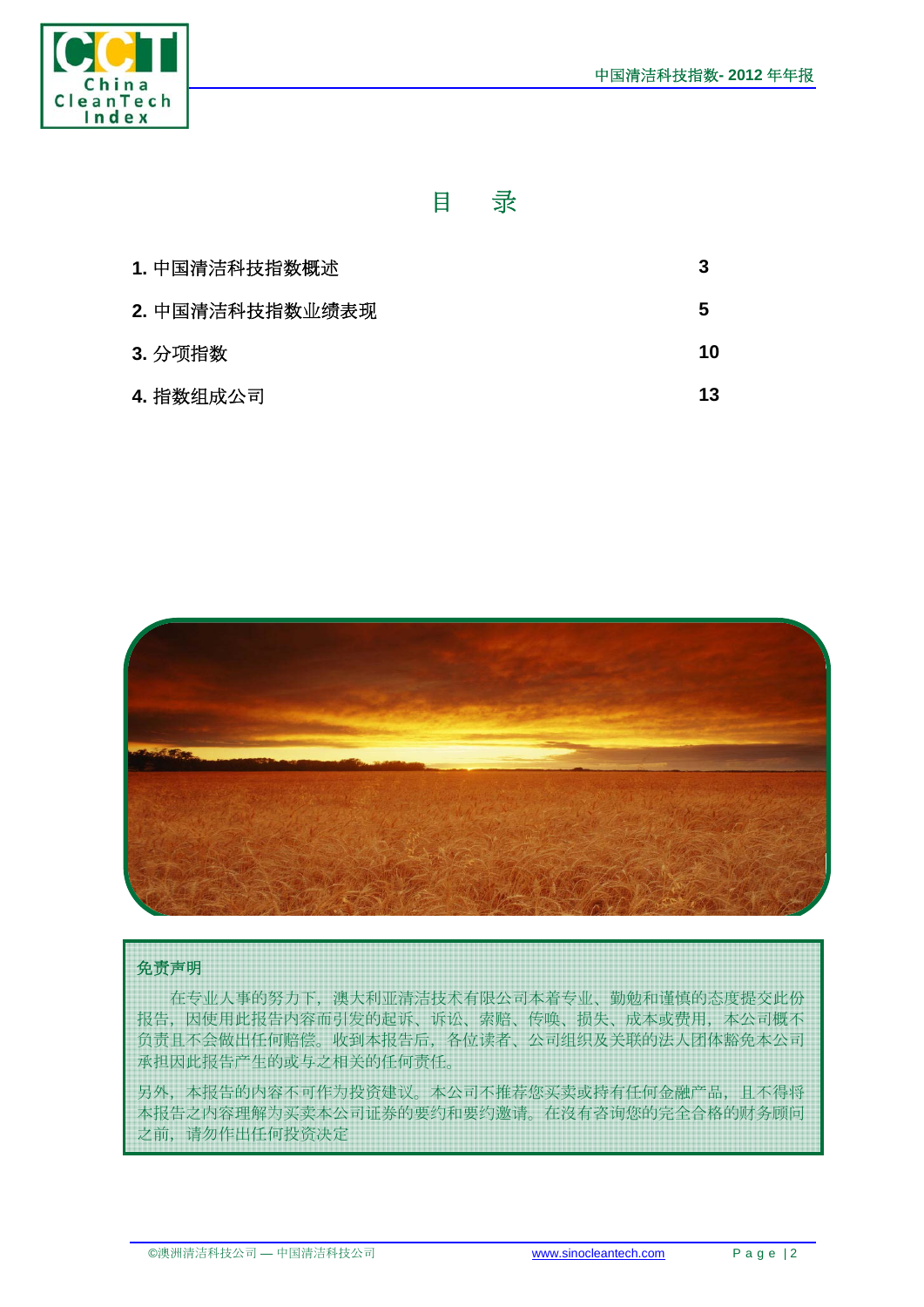

## 目录

| 1. 中国清洁科技指数概述   | 3  |
|-----------------|----|
| 2. 中国清洁科技指数业绩表现 | 5  |
| 3. 分项指数         | 10 |
| 4. 指数组成公司       | 13 |



#### 免责声明

在专业人事的努力下,澳大利亚清洁技术有限公司本着专业、勤勉和谨慎的态度提交此份 报告,因使用此报告内容而引发的起诉、诉讼、索赔、传唤、损失、成本或费用,本公司概不 负责且不会做出任何赔偿。收到本报告后,各位读者、公司组织及关联的法人团体豁免本公司 承担因此报告产生的或与之相关的任何责任。

另外,本报告的内容不可作为投资建议。本公司不推荐您买卖或持有任何金融产品,且不得将 本报告之内容理解为买卖本公司证券的要约和要约邀请。在沒有咨询您的完全合格的财务顾问 之前,请勿作出任何投资决定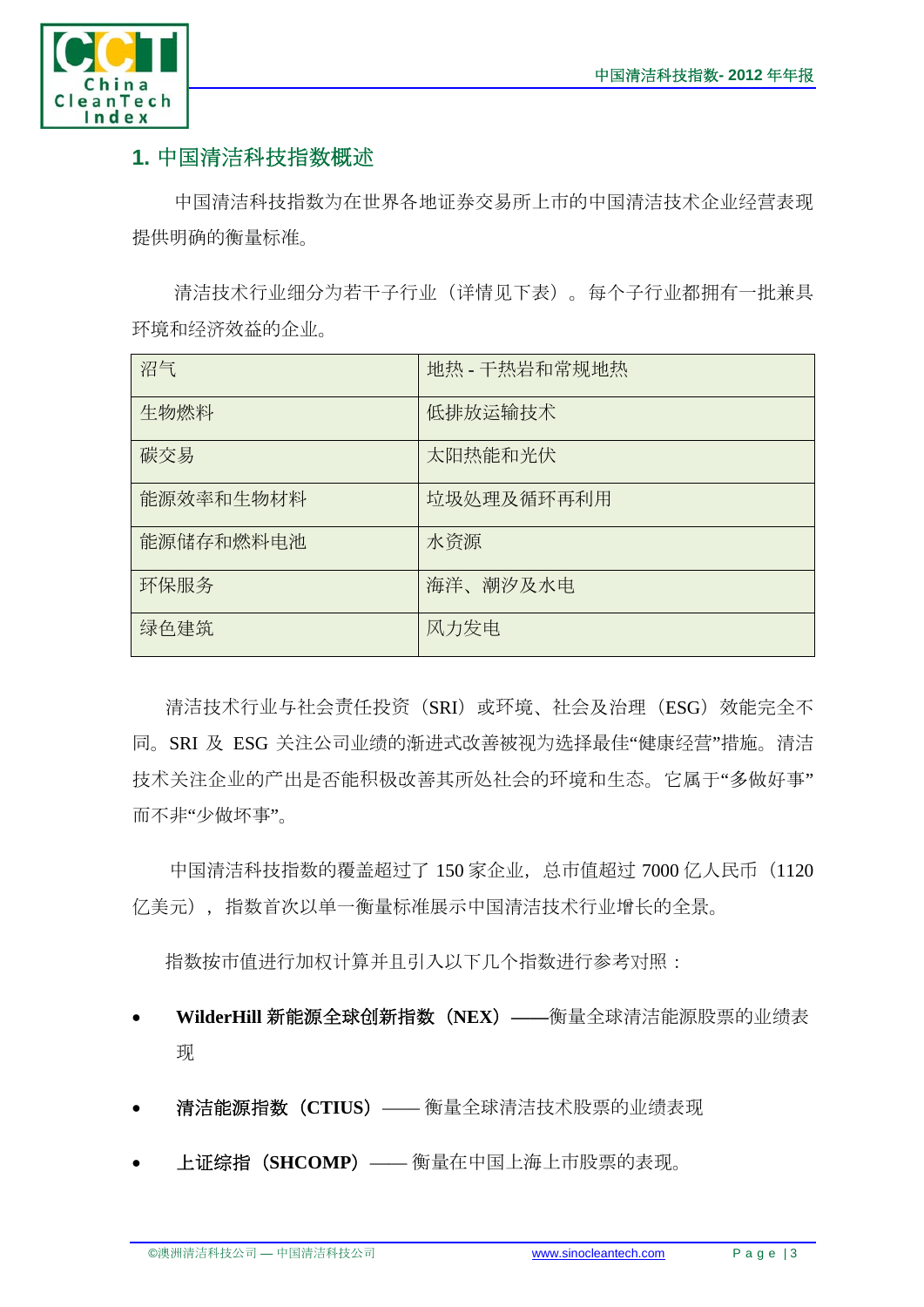

## **1.** 中国清洁科技指数概述

中国清洁科技指数为在世界各地证券交易所上市的中国清洁技术企业经营表现 提供明确的衡量标准。

清洁技术行业细分为若干子行业(详情见下表)。每个子行业都拥有一批兼具 环境和经济效益的企业。

| 沼气        | 地热 - 干热岩和常规地热 |
|-----------|---------------|
| 生物燃料      | 低排放运输技术       |
| 碳交易       | 太阳热能和光伏       |
| 能源效率和生物材料 | 垃圾处理及循环再利用    |
| 能源储存和燃料电池 | 水资源           |
| 环保服务      | 海洋、潮汐及水电      |
| 绿色建筑      | 风力发电          |

清洁技术行业与社会责任投资(SRI)或环境、社会及治理(ESG)效能完全不 同。SRI 及 ESG 关注公司业绩的渐进式改善被视为选择最佳"健康经营"措施。清洁 技术关注企业的产出是否能积极改善其所处社会的环境和生态。它属于"多做好事" 而不非"少做坏事"。

中国清洁科技指数的覆盖超过了 150 家企业,总市值超过 7000 亿人民币 (1120 亿美元),指数首次以单一衡量标准展示中国清洁技术行业增长的全景。

指数按市值进行加权计算并且引入以下几个指数进行参考对照:

- **WilderHill** 新能源全球创新指数(**NEX**)**——**衡量全球清洁能源股票的业绩表 现
- 清洁能源指数(**CTIUS**)—— 衡量全球清洁技术股票的业绩表现
- 上证综指(**SHCOMP**)—— 衡量在中国上海上市股票的表现。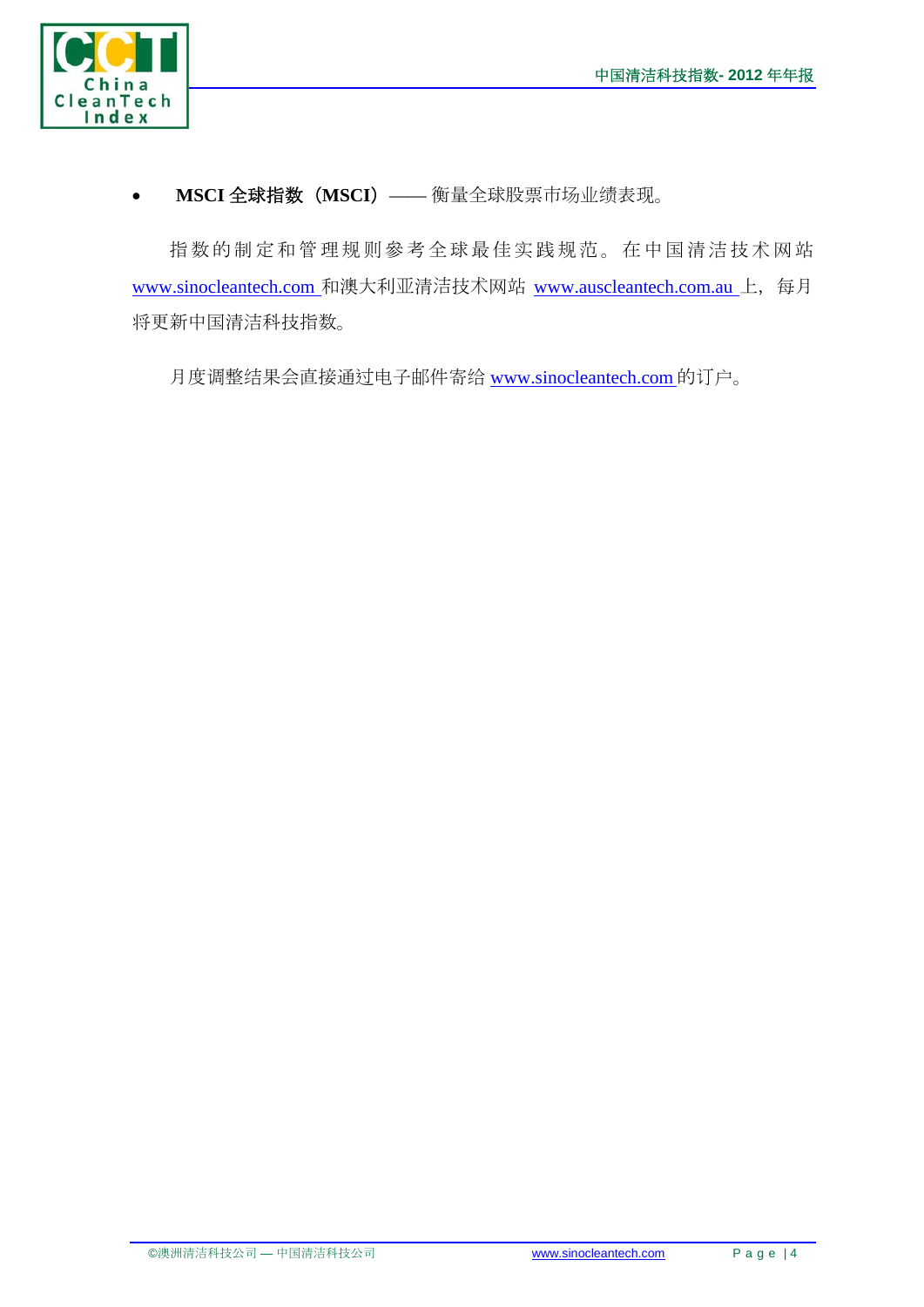

**MSCI** 全球指数(**MSCI**)—— 衡量全球股票市场业绩表现。

指数的制定和管理规则參考全球最佳实践规范。在中国清洁技术网站 www.sinocleantech.com 和澳大利亚清洁技术网站 www.auscleantech.com.au 上,每月 将更新中国清洁科技指数。

月度调整结果会直接通过电子邮件寄给 www.sinocleantech.com 的订户。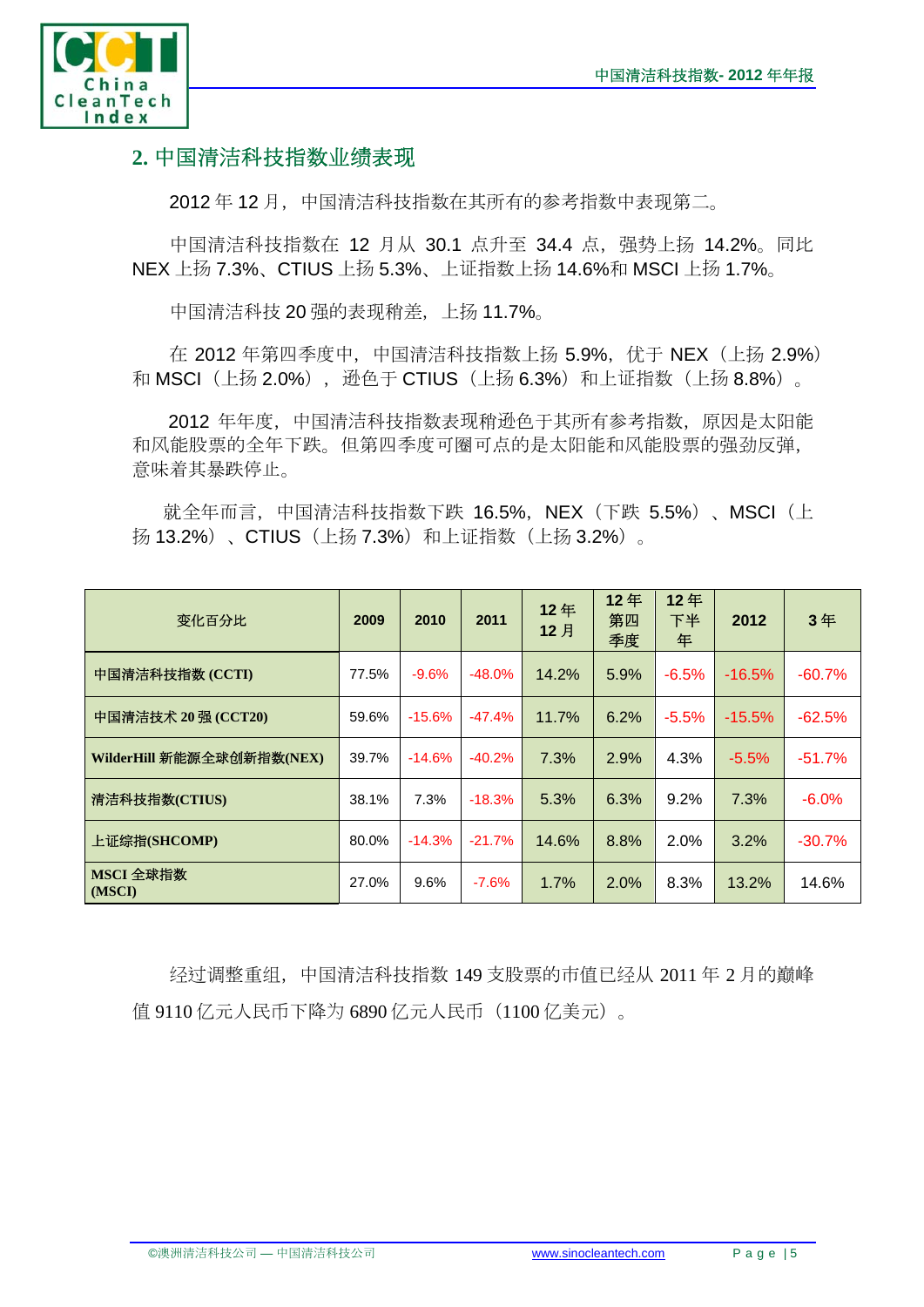

## **2.** 中国清洁科技指数业绩表现

2012年12月,中国清洁科技指数在其所有的参考指数中表现第二。

中国清洁科技指数在 12 月从 30.1 点升至 34.4 点,强势上扬 14.2%。同比 NEX 上扬 7.3%、CTIUS 上扬 5.3%、上证指数上扬 14.6%和 MSCI 上扬 1.7%。

中国清洁科技 20 强的表现稍差,上扬 11.7%。

在 2012 年第四季度中, 中国清洁科技指数上扬 5.9%, 优于 NEX (上扬 2.9%) 和 MSCI (上扬 2.0%), 逊色于 CTIUS (上扬 6.3%) 和上证指数 (上扬 8.8%)。

 2012 年年度,中国清洁科技指数表现稍逊色于其所有参考指数,原因是太阳能 和风能股票的全年下跌。但第四季度可圈可点的是太阳能和风能股票的强劲反弹, 意味着其暴跌停止。

就全年而言, 中国清洁科技指数下跌 16.5%, NEX (下跌 5.5%) 、MSCI (上 扬 13.2%) 、CTIUS (上扬 7.3%) 和上证指数 (上扬 3.2%) 。

| 变化百分比                     | 2009  | 2010      | 2011      | 12年<br>12月 | 12年<br>第四<br>季度 | 12年<br>下半<br>年 | 2012      | 3年       |
|---------------------------|-------|-----------|-----------|------------|-----------------|----------------|-----------|----------|
| 中国清洁科技指数 (CCTI)           | 77.5% | $-9.6%$   | $-48.0\%$ | 14.2%      | 5.9%            | $-6.5%$        | $-16.5\%$ | $-60.7%$ |
| 中国清洁技术 20 强 (CCT20)       | 59.6% | $-15.6%$  | $-47.4%$  | 11.7%      | 6.2%            | $-5.5%$        | $-15.5%$  | $-62.5%$ |
| WilderHill 新能源全球创新指数(NEX) | 39.7% | $-14.6%$  | $-40.2%$  | 7.3%       | 2.9%            | 4.3%           | $-5.5%$   | $-51.7%$ |
| 清洁科技指数(CTIUS)             | 38.1% | 7.3%      | $-18.3%$  | 5.3%       | 6.3%            | 9.2%           | 7.3%      | $-6.0%$  |
| 上证综指(SHCOMP)              | 80.0% | $-14.3\%$ | $-21.7%$  | 14.6%      | 8.8%            | 2.0%           | 3.2%      | $-30.7%$ |
| MSCI 全球指数<br>(MSCI)       | 27.0% | 9.6%      | $-7.6%$   | 1.7%       | 2.0%            | 8.3%           | 13.2%     | 14.6%    |

经过调整重组,中国清洁科技指数 149 支股票的市值已经从 2011 年 2 月的巅峰 值 9110 亿元人民币下降为 6890 亿元人民币(1100 亿美元)。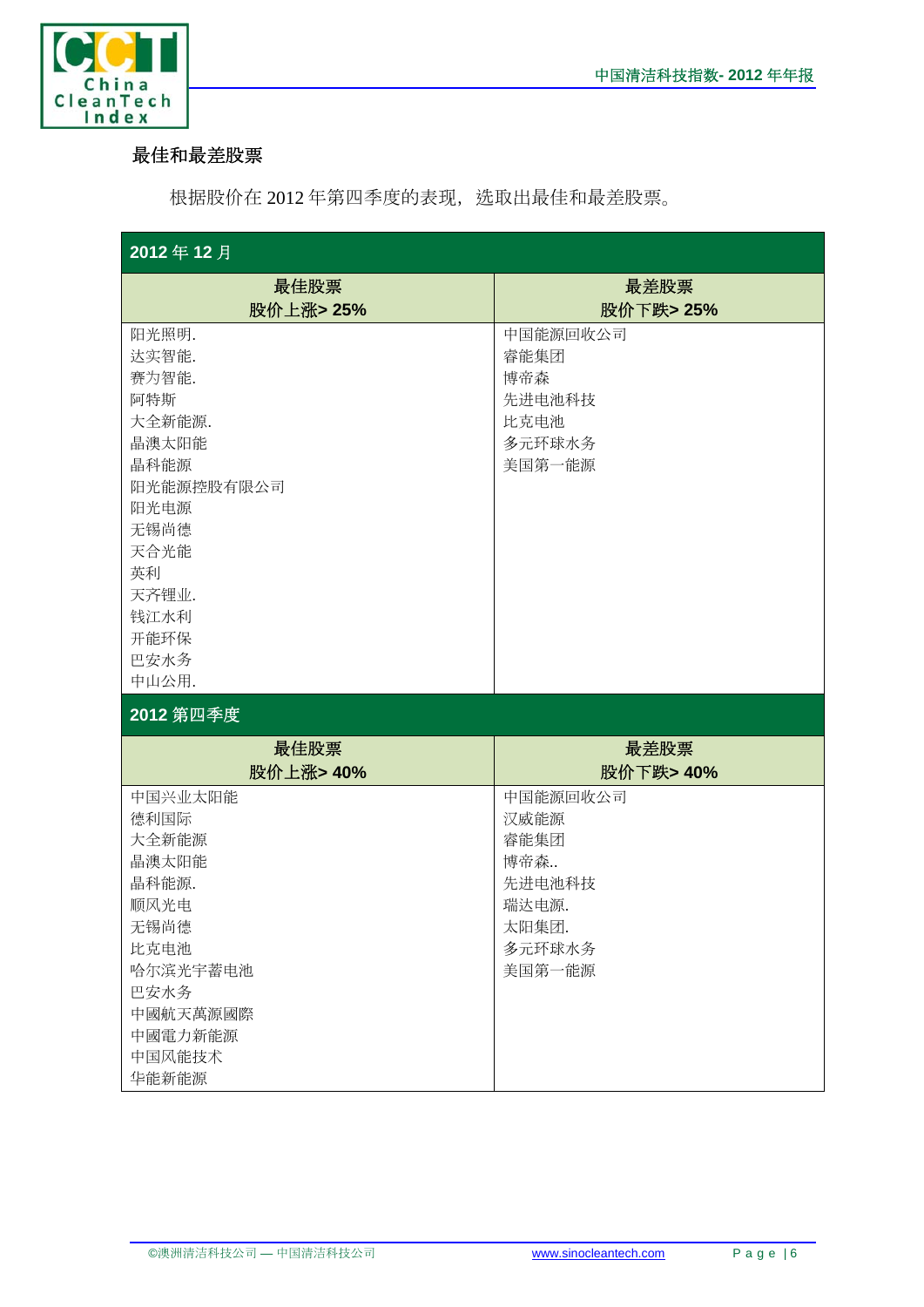

### 最佳和最差股票

根据股价在 2012 年第四季度的表现,选取出最佳和最差股票。

| 2012年12月                                                                                                                                        |                                                                                 |  |  |  |  |
|-------------------------------------------------------------------------------------------------------------------------------------------------|---------------------------------------------------------------------------------|--|--|--|--|
| 最佳股票                                                                                                                                            | 最差股票                                                                            |  |  |  |  |
| 股价上涨>25%                                                                                                                                        | 股价下跌> 25%                                                                       |  |  |  |  |
| 阳光照明.<br>达实智能.<br>赛为智能.<br>阿特斯<br>大全新能源.<br>晶澳太阳能<br>晶科能源<br>阳光能源控股有限公司<br>阳光电源<br>无锡尚德<br>天合光能<br>英利<br>天齐锂业.<br>钱江水利<br>开能环保<br>巴安水务<br>中山公用. | 中国能源回收公司<br>睿能集团<br>博帝森<br>先进电池科技<br>比克电池<br>多元环球水务<br>美国第一能源                   |  |  |  |  |
| 2012 第四季度                                                                                                                                       |                                                                                 |  |  |  |  |
| 最佳股票<br>股价上涨> 40%                                                                                                                               | 最差股票<br>股价下跌> 40%                                                               |  |  |  |  |
| 中国兴业太阳能<br>德利国际<br>大全新能源<br>晶澳太阳能<br>晶科能源.<br>顺风光电<br>无锡尚德<br>比克电池<br>哈尔滨光宇蓄电池<br>巴安水务<br>中國航天萬源國際<br>中國電力新能源<br>中国风能技术<br>华能新能源                | 中国能源回收公司<br>汉威能源<br>睿能集团<br>博帝森<br>先进电池科技<br>瑞达电源.<br>太阳集团.<br>多元环球水务<br>美国第一能源 |  |  |  |  |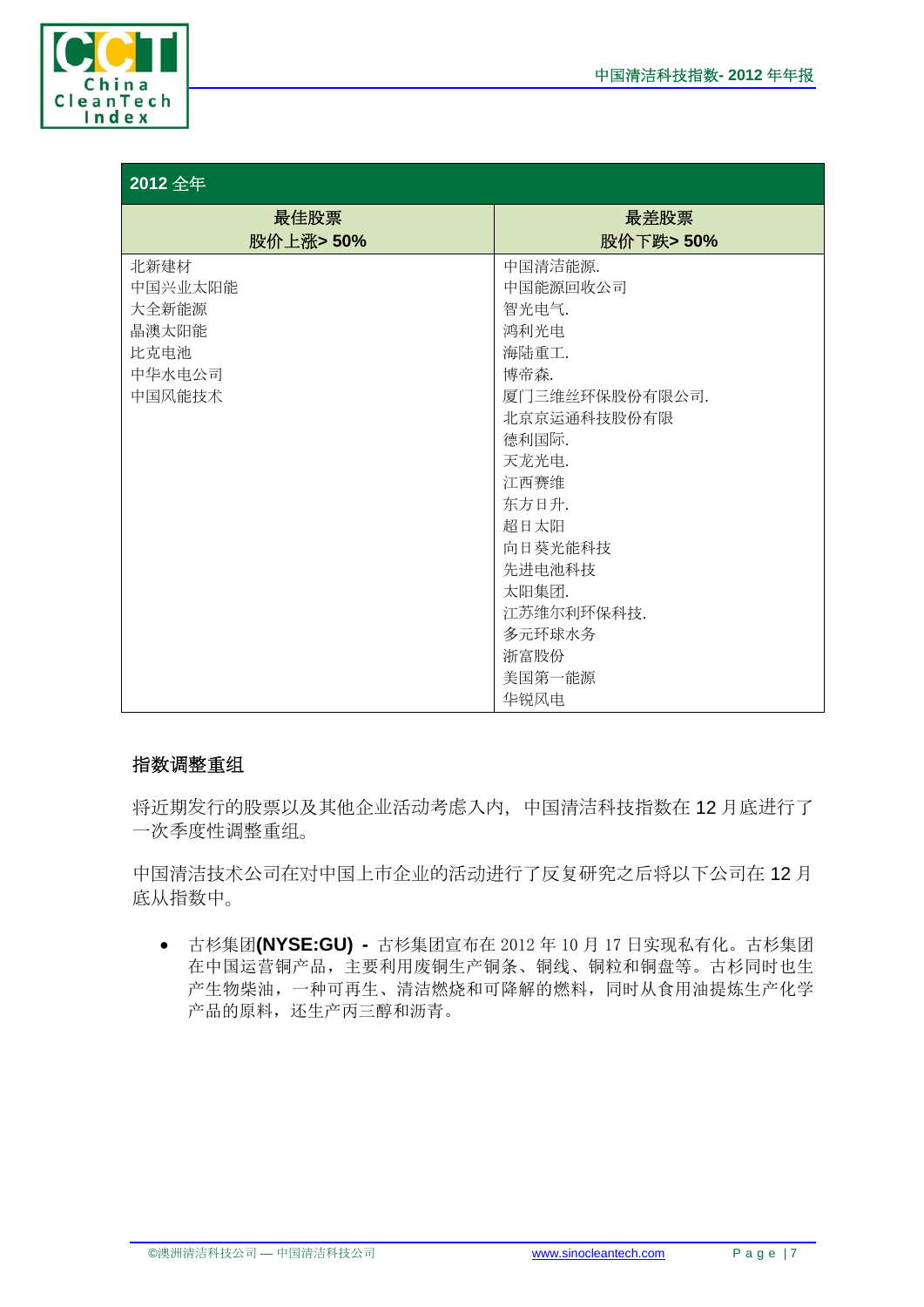

| 2012 全年   |                |  |  |  |  |
|-----------|----------------|--|--|--|--|
| 最佳股票      | 最差股票           |  |  |  |  |
| 股价上涨> 50% | 股价下跌>50%       |  |  |  |  |
| 北新建材      | 中国清洁能源.        |  |  |  |  |
| 中国兴业太阳能   | 中国能源回收公司       |  |  |  |  |
| 大全新能源     | 智光电气.          |  |  |  |  |
| 晶澳太阳能     | 鸿利光电           |  |  |  |  |
| 比克电池      | 海陆重工.          |  |  |  |  |
| 中华水电公司    | 博帝森.           |  |  |  |  |
| 中国风能技术    | 厦门三维丝环保股份有限公司. |  |  |  |  |
|           | 北京京运通科技股份有限    |  |  |  |  |
|           | 德利国际.          |  |  |  |  |
|           | 天龙光电.          |  |  |  |  |
|           | 江西赛维           |  |  |  |  |
|           | 东方日升.          |  |  |  |  |
|           | 超日太阳           |  |  |  |  |
|           | 向日葵光能科技        |  |  |  |  |
|           | 先进电池科技         |  |  |  |  |
|           | 太阳集团.          |  |  |  |  |
|           | 江苏维尔利环保科技.     |  |  |  |  |
|           | 多元环球水务         |  |  |  |  |
|           | 浙富股份           |  |  |  |  |
|           | 美国第一能源         |  |  |  |  |
|           | 华锐风电           |  |  |  |  |

#### 指数调整重组

将近期发行的股票以及其他企业活动考虑入内,中国清洁科技指数在 12 月底进行了 一次季度性调整重组。

中国清洁技术公司在对中国上市企业的活动进行了反复研究之后将以下公司在 12 月 底从指数中。

 古杉集团**(NYSE:GU) -** 古杉集团宣布在 2012 年 10 月 17 日实现私有化。古杉集团 在中国运营铜产品,主要利用废铜生产铜条、铜线、铜粒和铜盘等。古杉同时也生 产生物柴油,一种可再生、清洁燃烧和可降解的燃料,同时从食用油提炼生产化学 产品的原料,还生产丙三醇和沥青。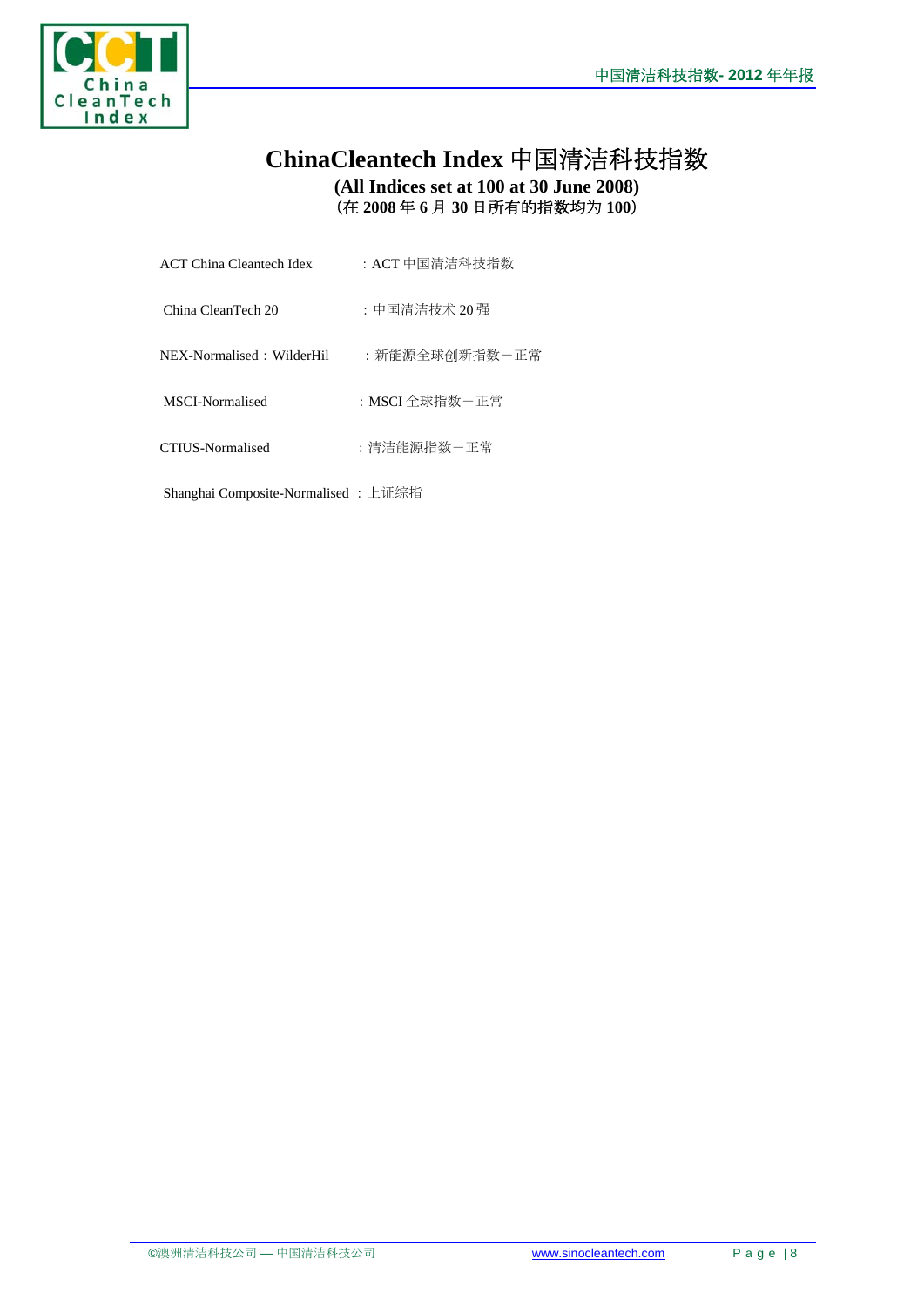

## **ChinaCleantech Index** 中国清洁科技指数 **(All Indices set at 100 at 30 June 2008)**  (在 **2008** 年 **6** 月 **30** 日所有的指数均为 **100**)

| ACT China Cleantech Idex | : ACT 中国清洁科技指数 |
|--------------------------|----------------|
|                          |                |

China CleanTech 20 : 中国清洁技术 20 强

- NEX-Normalised: WilderHil : 新能源全球创新指数一正常
- MSCI-Normalised :MSCI 全球指数-正常
- CTIUS-Normalised :清洁能源指数-正常

Shanghai Composite-Normalised :上证综指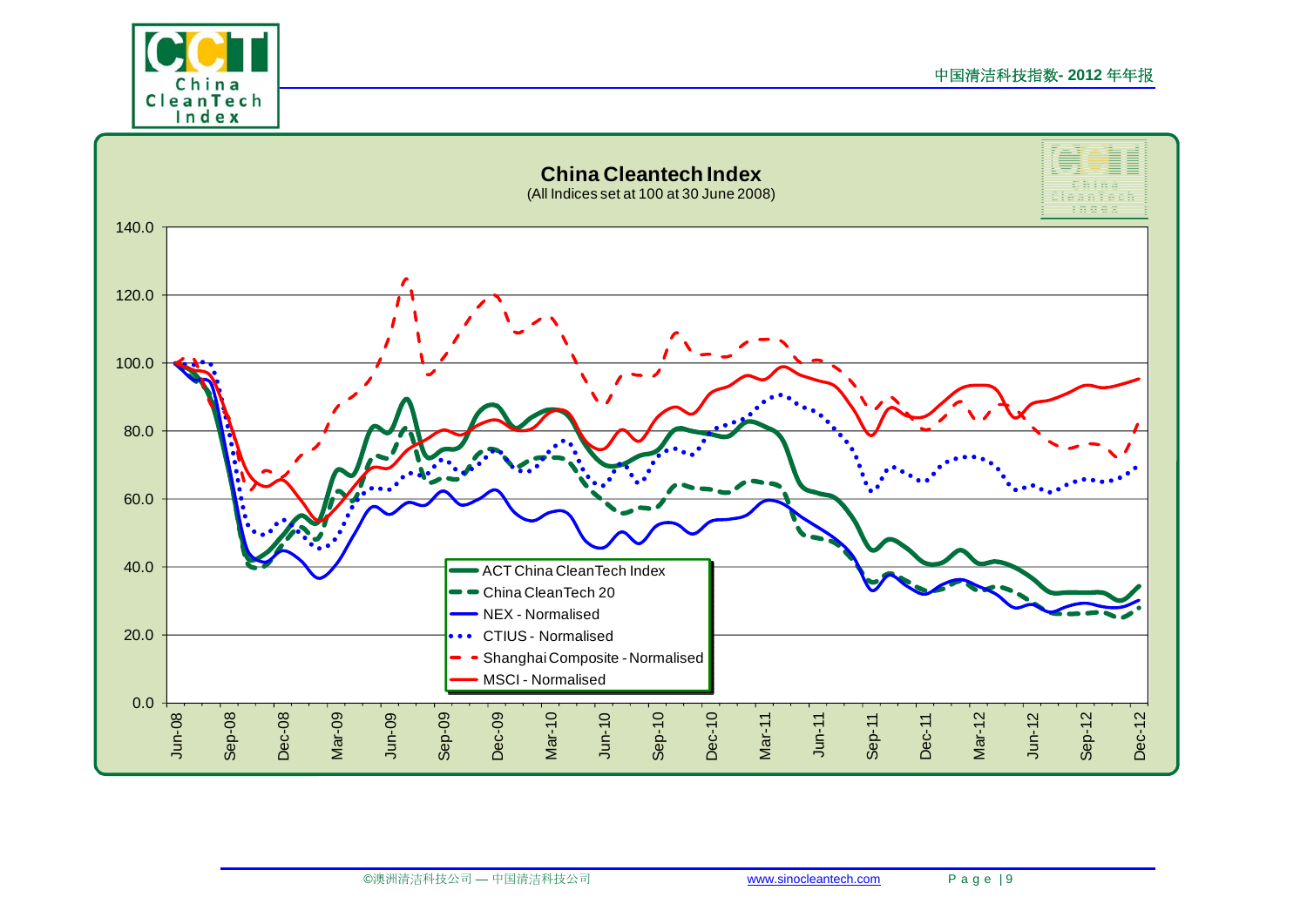

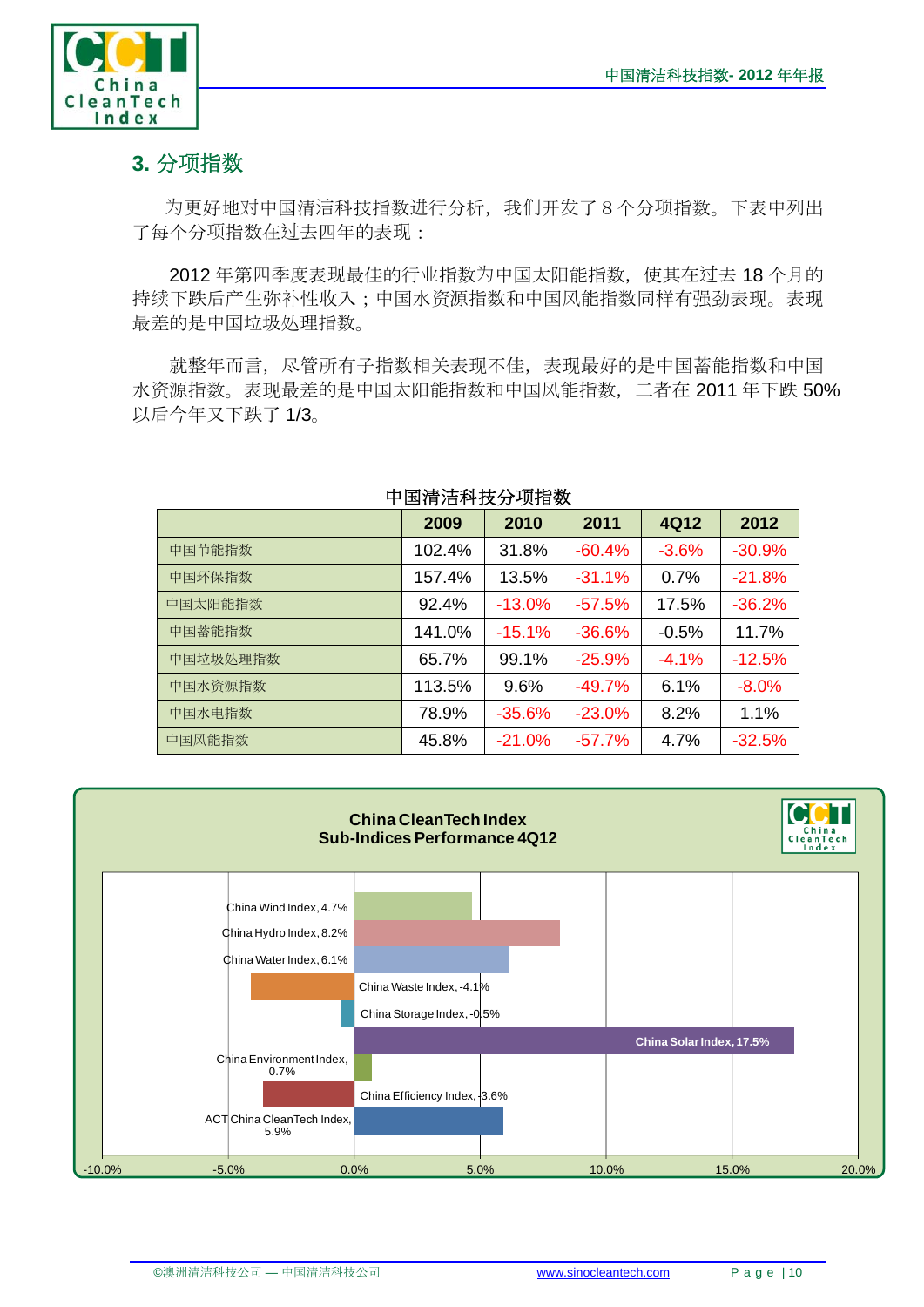

# **3.** 分项指数

为更好地对中国清洁科技指数进行分析,我们开发了8个分项指数。下表中列出 了每个分项指数在过去四年的表现:

2012 年第四季度表现最佳的行业指数为中国太阳能指数,使其在过去 18 个月的 持续下跌后产生弥补性收入;中国水资源指数和中国风能指数同样有强劲表现。表现 最差的是中国垃圾处理指数。

就整年而言,尽管所有子指数相关表现不佳,表现最好的是中国蓄能指数和中国 水资源指数。表现最差的是中国太阳能指数和中国风能指数,二者在 2011 年下跌 50% 以后今年又下跌了 1/3。

|          | 2009   | 2010     | 2011     | 4Q12    | 2012     |
|----------|--------|----------|----------|---------|----------|
| 中国节能指数   | 102.4% | 31.8%    | $-60.4%$ | $-3.6%$ | $-30.9%$ |
| 中国环保指数   | 157.4% | 13.5%    | $-31.1%$ | 0.7%    | $-21.8%$ |
| 中国太阳能指数  | 92.4%  | $-13.0%$ | $-57.5%$ | 17.5%   | $-36.2%$ |
| 中国蓄能指数   | 141.0% | $-15.1%$ | $-36.6%$ | $-0.5%$ | 11.7%    |
| 中国垃圾处理指数 | 65.7%  | 99.1%    | $-25.9%$ | $-4.1%$ | $-12.5%$ |
| 中国水资源指数  | 113.5% | 9.6%     | $-49.7%$ | 6.1%    | $-8.0%$  |
| 中国水电指数   | 78.9%  | $-35.6%$ | $-23.0%$ | 8.2%    | 1.1%     |
| 中国风能指数   | 45.8%  | $-21.0%$ | $-57.7%$ | 4.7%    | $-32.5%$ |

### 中国清洁科技分项指数

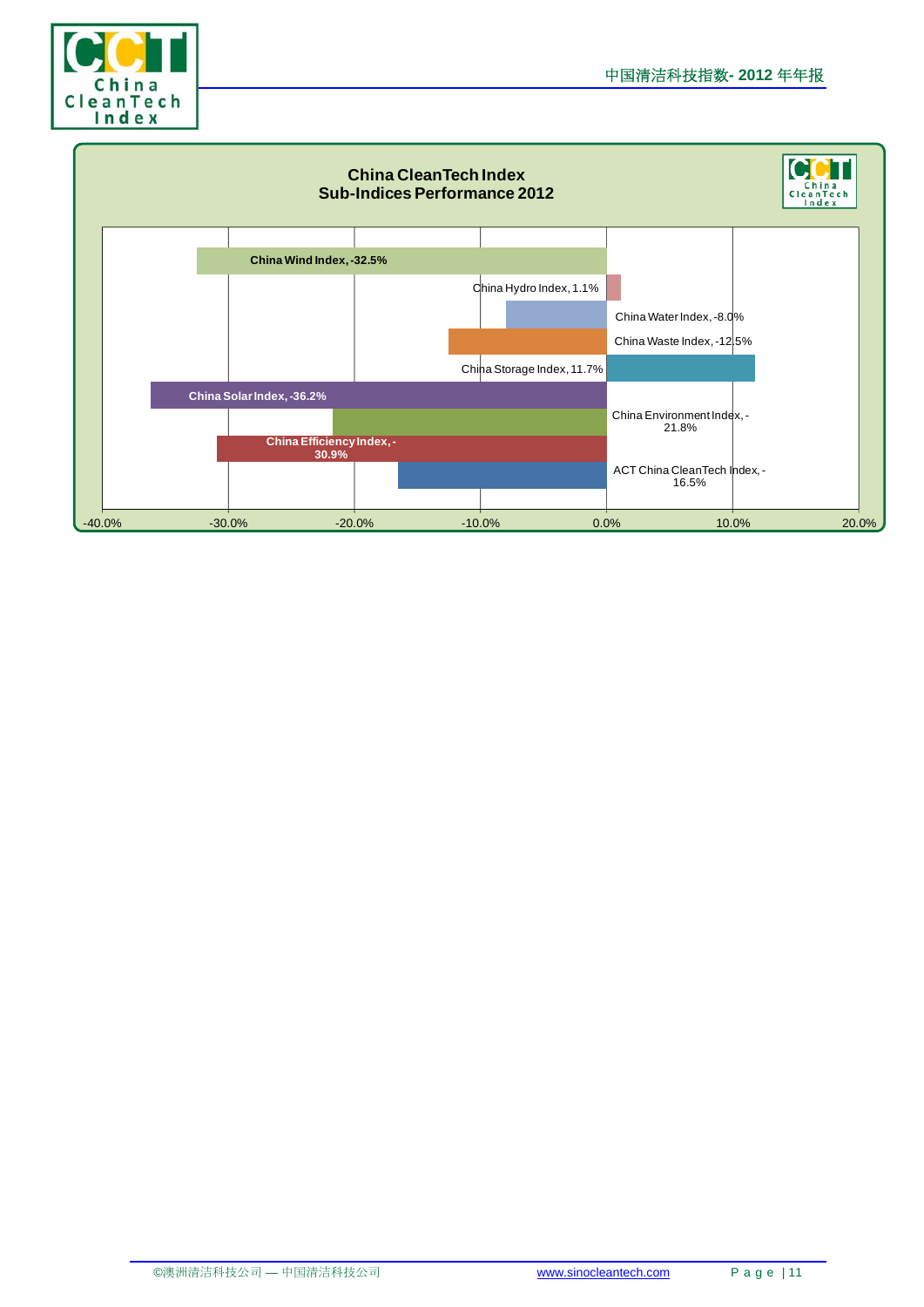

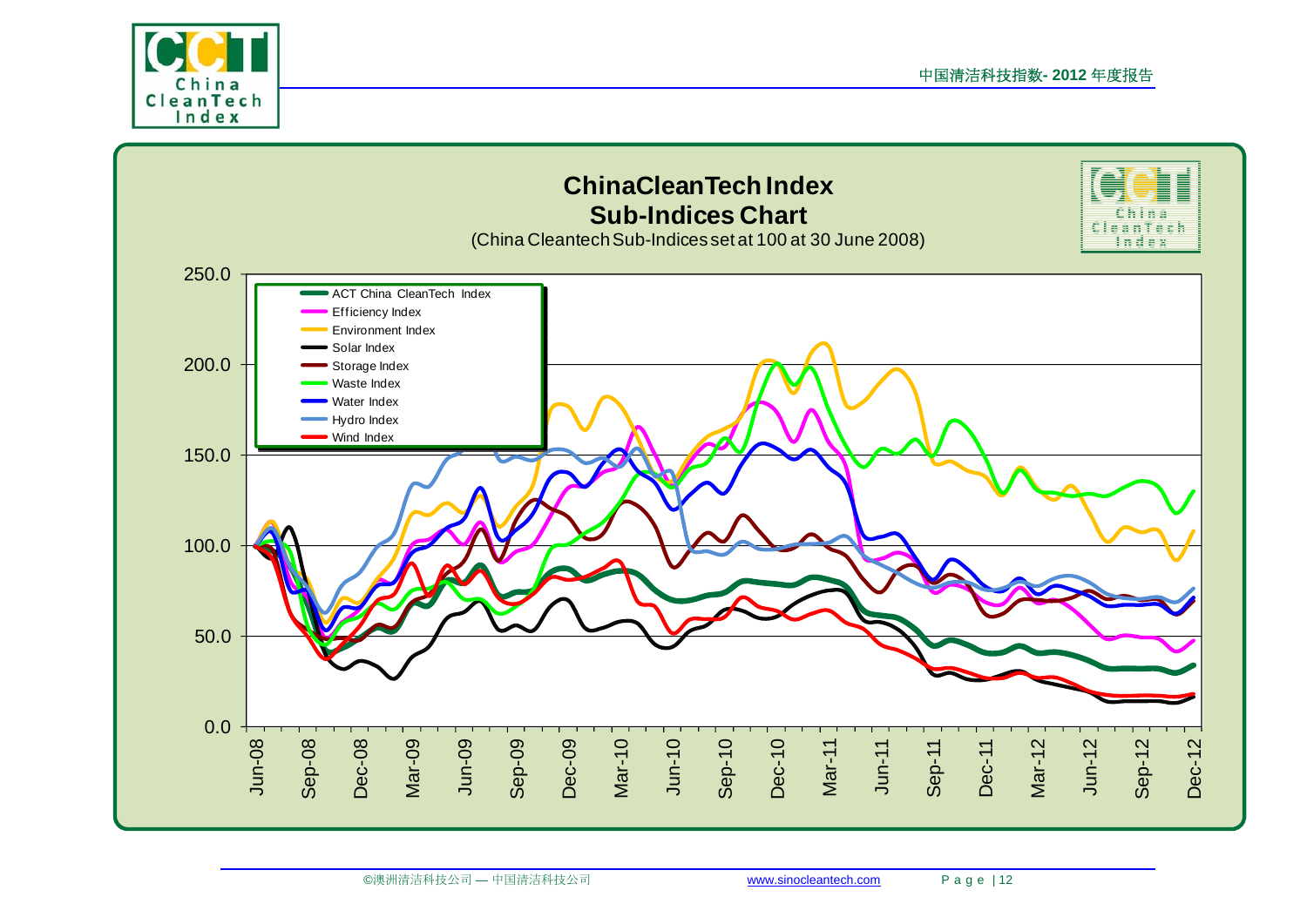